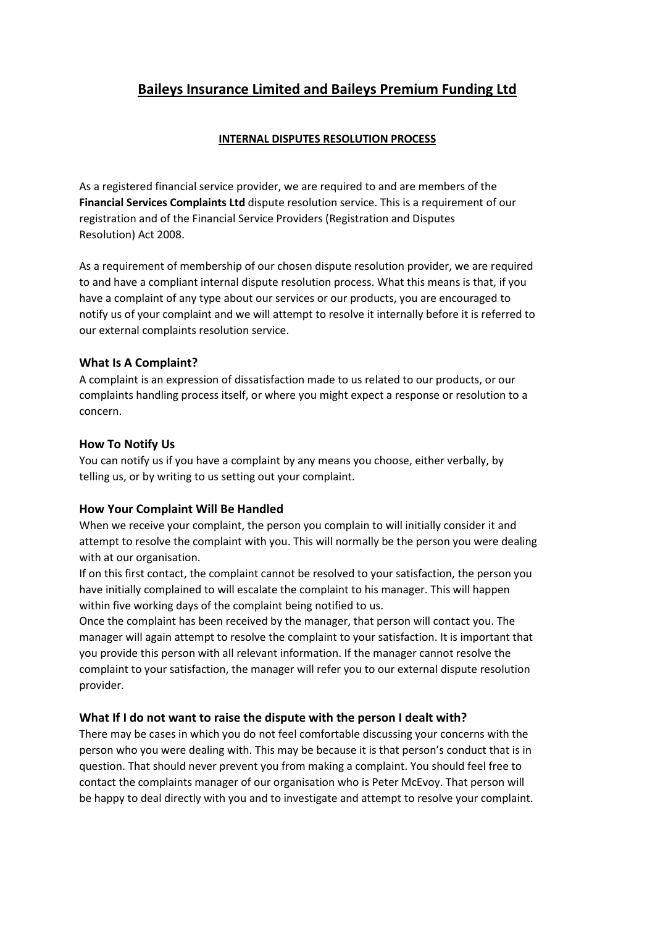# Baileys Insurance Limited and Baileys Premium Funding Ltd

### INTERNAL DISPUTES RESOLUTION PROCESS

As a registered financial service provider, we are required to and are members of the Financial Services Complaints Ltd dispute resolution service. This is a requirement of our registration and of the Financial Service Providers (Registration and Disputes Resolution) Act 2008.

As a requirement of membership of our chosen dispute resolution provider, we are required to and have a compliant internal dispute resolution process. What this means is that, if you have a complaint of any type about our services or our products, you are encouraged to notify us of your complaint and we will attempt to resolve it internally before it is referred to our external complaints resolution service.

## What Is A Complaint?

A complaint is an expression of dissatisfaction made to us related to our products, or our complaints handling process itself, or where you might expect a response or resolution to a concern.

#### How To Notify Us

You can notify us if you have a complaint by any means you choose, either verbally, by telling us, or by writing to us setting out your complaint.

# How Your Complaint Will Be Handled

When we receive your complaint, the person you complain to will initially consider it and attempt to resolve the complaint with you. This will normally be the person you were dealing with at our organisation.

If on this first contact, the complaint cannot be resolved to your satisfaction, the person you have initially complained to will escalate the complaint to his manager. This will happen within five working days of the complaint being notified to us.

Once the complaint has been received by the manager, that person will contact you. The manager will again attempt to resolve the complaint to your satisfaction. It is important that you provide this person with all relevant information. If the manager cannot resolve the complaint to your satisfaction, the manager will refer you to our external dispute resolution provider.

# What If I do not want to raise the dispute with the person I dealt with?

There may be cases in which you do not feel comfortable discussing your concerns with the person who you were dealing with. This may be because it is that person's conduct that is in question. That should never prevent you from making a complaint. You should feel free to contact the complaints manager of our organisation who is Peter McEvoy. That person will be happy to deal directly with you and to investigate and attempt to resolve your complaint.